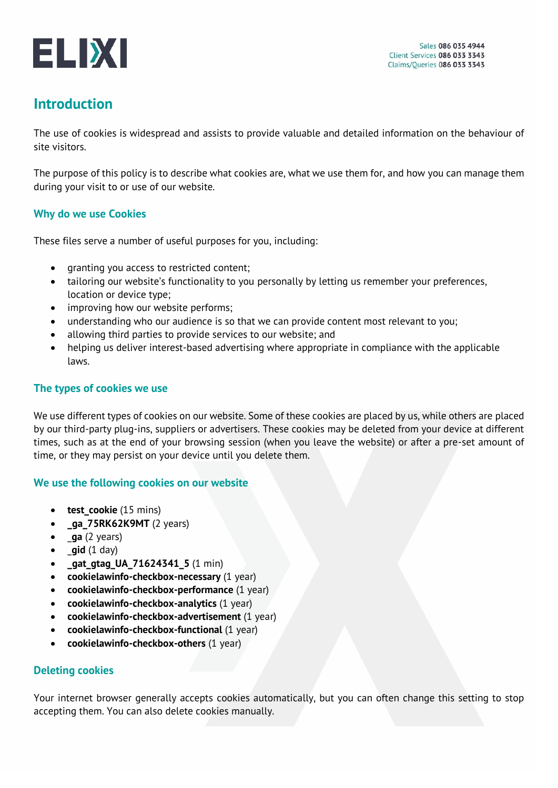

# **Introduction**

The use of cookies is widespread and assists to provide valuable and detailed information on the behaviour of site visitors.

The purpose of this policy is to describe what cookies are, what we use them for, and how you can manage them during your visit to or use of our website.

### **Why do we use Cookies**

These files serve a number of useful purposes for you, including:

- granting you access to restricted content;
- tailoring our website's functionality to you personally by letting us remember your preferences, location or device type;
- improving how our website performs;
- understanding who our audience is so that we can provide content most relevant to you;
- allowing third parties to provide services to our website; and
- helping us deliver interest-based advertising where appropriate in compliance with the applicable laws.

#### **The types of cookies we use**

We use different types of cookies on our website. Some of these cookies are placed by us, while others are placed by our third-party plug-ins, suppliers or advertisers. These cookies may be deleted from your device at different times, such as at the end of your browsing session (when you leave the website) or after a pre-set amount of time, or they may persist on your device until you delete them.

### **We use the following cookies on our website**

- **test\_cookie** (15 mins)
- **\_ga\_75RK62K9MT** (2 years)
- **ga** (2 years)
- **gid** (1 day)
- **\_gat\_gtag\_UA\_71624341\_5** (1 min)
- **cookielawinfo-checkbox-necessary** (1 year)
- **cookielawinfo-checkbox-performance** (1 year)
- **cookielawinfo-checkbox-analytics** (1 year)
- **cookielawinfo-checkbox-advertisement** (1 year)
- **cookielawinfo-checkbox-functional** (1 year)
- **cookielawinfo-checkbox-others** (1 year)

### **Deleting cookies**

Your internet browser generally accepts cookies automatically, but you can often change this setting to stop accepting them. You can also delete cookies manually.